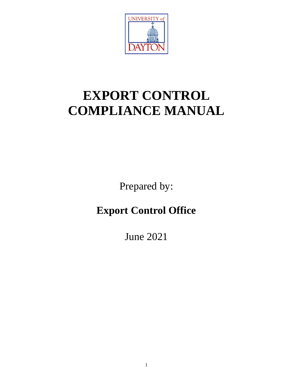

# **EXPORT CONTROL COMPLIANCE MANUAL**

Prepared by:

## **Export Control Office**

June 2021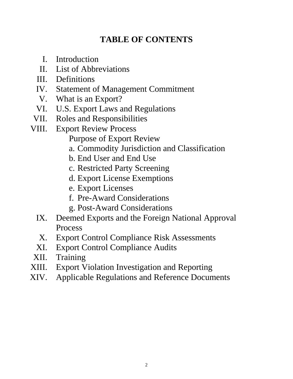### **TABLE OF CONTENTS**

- I. Introduction
- II. List of Abbreviations
- III. Definitions
- IV. Statement of Management Commitment
	- V. What is an Export?
- VI. U.S. Export Laws and Regulations
- VII. Roles and Responsibilities
- VIII. Export Review Process
	- Purpose of Export Review
	- a. Commodity Jurisdiction and Classification
	- b. End User and End Use
	- c. Restricted Party Screening
	- d. Export License Exemptions
	- e. Export Licenses
	- f. Pre-Award Considerations
	- g. Post-Award Considerations
	- IX. Deemed Exports and the Foreign National Approval Process
	- X. Export Control Compliance Risk Assessments
	- XI. Export Control Compliance Audits
- XII. Training
- XIII. Export Violation Investigation and Reporting
- XIV. Applicable Regulations and Reference Documents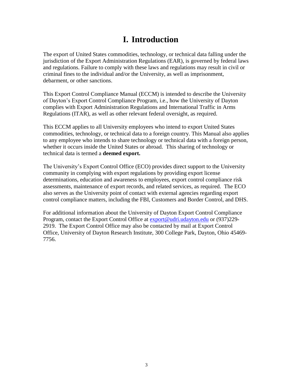### **I. Introduction**

The export of United States commodities, technology, or technical data falling under the jurisdiction of the Export Administration Regulations (EAR), is governed by federal laws and regulations. Failure to comply with these laws and regulations may result in civil or criminal fines to the individual and/or the University, as well as imprisonment, debarment, or other sanctions.

This Export Control Compliance Manual (ECCM) is intended to describe the University of Dayton's Export Control Compliance Program, i.e., how the University of Dayton complies with Export Administration Regulations and International Traffic in Arms Regulations (ITAR), as well as other relevant federal oversight, as required.

This ECCM applies to all University employees who intend to export United States commodities, technology, or technical data to a foreign country. This Manual also applies to any employee who intends to share technology or technical data with a foreign person, whether it occurs inside the United States or abroad. This sharing of technology or technical data is termed a **deemed export.**

The University's Export Control Office (ECO) provides direct support to the University community in complying with export regulations by providing export license determinations, education and awareness to employees, export control compliance risk assessments, maintenance of export records, and related services, as required. The ECO also serves as the University point of contact with external agencies regarding export control compliance matters, including the FBI, Customers and Border Control, and DHS.

For additional information about the University of Dayton Export Control Compliance Program, contact the Export Control Office at [export@udri.udayton.edu](mailto:export@udri.udayton.edu) or (937)229-2919. The Export Control Office may also be contacted by mail at Export Control Office, University of Dayton Research Institute, 300 College Park, Dayton, Ohio 45469- 7756.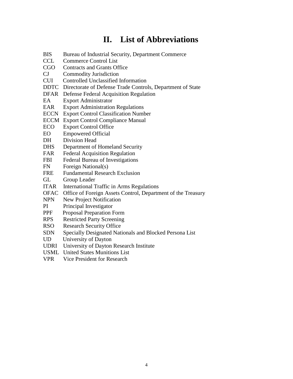### **II. List of Abbreviations**

- BIS Bureau of Industrial Security, Department Commerce
- CCL Commerce Control List
- CGO Contracts and Grants Office
- CJ Commodity Jurisdiction
- CUI Controlled Unclassified Information
- DDTC Directorate of Defense Trade Controls, Department of State
- DFAR Defense Federal Acquisition Regulation
- EA Export Administrator
- EAR Export Administration Regulations
- ECCN Export Control Classification Number
- ECCM Export Control Compliance Manual
- ECO Export Control Office
- EO Empowered Official
- DH Division Head
- DHS Department of Homeland Security
- FAR Federal Acquisition Regulation
- FBI Federal Bureau of Investigations
- FN Foreign National(s)
- FRE Fundamental Research Exclusion
- GL Group Leader
- ITAR International Traffic in Arms Regulations
- OFAC Office of Foreign Assets Control, Department of the Treasury
- NPN New Project Notification
- PI Principal Investigator
- PPF Proposal Preparation Form
- RPS Restricted Party Screening
- RSO Research Security Office
- SDN Specially Designated Nationals and Blocked Persona List
- UD University of Dayton
- UDRI University of Dayton Research Institute
- USML United States Munitions List
- VPR Vice President for Research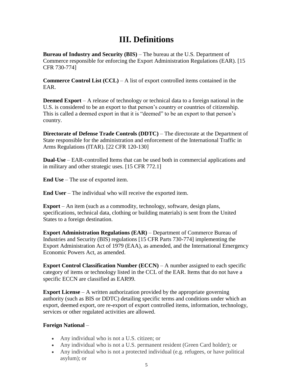### **III. Definitions**

**Bureau of Industry and Security (BIS)** – The bureau at the U.S. Department of Commerce responsible for enforcing the Export Administration Regulations (EAR). [15 CFR 730-774]

**Commerce Control List (CCL)** – A list of export controlled items contained in the EAR.

**Deemed Export** – A release of technology or technical data to a foreign national in the U.S. is considered to be an export to that person's country or countries of citizenship. This is called a deemed export in that it is "deemed" to be an export to that person's country.

**Directorate of Defense Trade Controls (DDTC)** – The directorate at the Department of State responsible for the administration and enforcement of the International Traffic in Arms Regulations (ITAR). [22 CFR 120-130]

**Dual-Use** – EAR-controlled Items that can be used both in commercial applications and in military and other strategic uses. [15 CFR 772.1]

**End Use** – The use of exported item.

**End User** – The individual who will receive the exported item.

**Export** – An item (such as a commodity, technology, software, design plans, specifications, technical data, clothing or building materials) is sent from the United States to a foreign destination.

**Export Administration Regulations (EAR) – Department of Commerce Bureau of** Industries and Security (BIS) regulations [15 CFR Parts 730-774] implementing the Export Administration Act of 1979 (EAA), as amended, and the International Emergency Economic Powers Act, as amended.

**Export Control Classification Number (ECCN)** – A number assigned to each specific category of items or technology listed in the CCL of the EAR. Items that do not have a specific ECCN are classified as EAR99.

**Export License** – A written authorization provided by the appropriate governing authority (such as BIS or DDTC) detailing specific terms and conditions under which an export, deemed export, ore re-export of export controlled items, information, technology, services or other regulated activities are allowed.

#### **Foreign National** –

- Any individual who is not a U.S. citizen; or
- Any individual who is not a U.S. permanent resident (Green Card holder); or
- Any individual who is not a protected individual (e.g. refugees, or have political asylum); or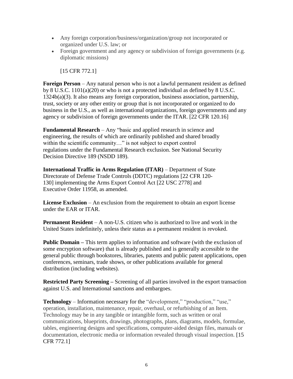- Any foreign corporation/business/organization/group not incorporated or organized under U.S. law; or
- Foreign government and any agency or subdivision of foreign governments (e.g. diplomatic missions)

[15 CFR 772.1]

**Foreign Person** – Any natural person who is not a lawful permanent resident as defined by 8 U.S.C. 1101(a)(20) or who is not a protected individual as defined by 8 U.S.C. 1324b(a)(3). It also means any foreign corporation, business association, partnership, trust, society or any other entity or group that is not incorporated or organized to do business in the U.S., as well as international organizations, foreign governments and any agency or subdivision of foreign governments under the ITAR. [22 CFR 120.16]

**Fundamental Research** – Any "basic and applied research in science and engineering, the results of which are ordinarily published and shared broadly within the scientific community..." is not subject to export control regulations under the Fundamental Research exclusion. See National Security Decision Directive 189 (NSDD 189).

**International Traffic in Arms Regulation (ITAR)** – Department of State Directorate of Defense Trade Controls (DDTC) regulations [22 CFR 120- 130] implementing the Arms Export Control Act [22 USC 2778] and Executive Order 11958, as amended.

**License Exclusion** – An exclusion from the requirement to obtain an export license under the EAR or ITAR.

**Permanent Resident** – A non-U.S. citizen who is authorized to live and work in the United States indefinitely, unless their status as a permanent resident is revoked.

**Public Domain** – This term applies to information and software (with the exclusion of some encryption software) that is already published and is generally accessible to the general public through bookstores, libraries, patents and public patent applications, open conferences, seminars, trade shows, or other publications available for general distribution (including websites).

**Restricted Party Screening –** Screening of all parties involved in the export transaction against U.S. and International sanctions and embargoes.

**Technology** – Information necessary for the "development," "production," "use," operation, installation, maintenance, repair, overhaul, or refurbishing of an Item. Technology may be in any tangible or intangible form, such as written or oral communications, blueprints, drawings, photographs, plans, diagrams, models, formulae, tables, engineering designs and specifications, computer-aided design files, manuals or documentation, electronic media or information revealed through visual inspection. [15 CFR 772.1]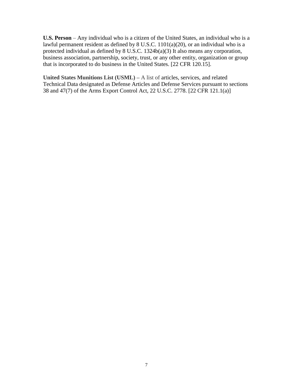**U.S. Person** – Any individual who is a citizen of the United States, an individual who is a lawful permanent resident as defined by 8 U.S.C. 1101(a)(20), or an individual who is a protected individual as defined by  $8 \text{ U.S.C. } 1324b(a)(3)$  It also means any corporation, business association, partnership, society, trust, or any other entity, organization or group that is incorporated to do business in the United States. [22 CFR 120.15].

**United States Munitions List (USML) –** A list of articles, services, and related Technical Data designated as Defense Articles and Defense Services pursuant to sections 38 and 47(7) of the Arms Export Control Act, 22 U.S.C. 2778. [22 CFR 121.1(a)]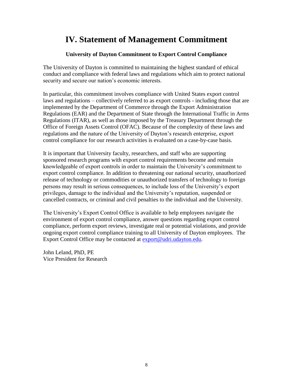### **IV. Statement of Management Commitment**

#### **University of Dayton Commitment to Export Control Compliance**

The University of Dayton is committed to maintaining the highest standard of ethical conduct and compliance with federal laws and regulations which aim to protect national security and secure our nation's economic interests.

In particular, this commitment involves compliance with United States export control laws and regulations – collectively referred to as export controls - including those that are implemented by the Department of Commerce through the Export Administration Regulations (EAR) and the Department of State through the International Traffic in Arms Regulations (ITAR), as well as those imposed by the Treasury Department through the Office of Foreign Assets Control (OFAC). Because of the complexity of these laws and regulations and the nature of the University of Dayton's research enterprise, export control compliance for our research activities is evaluated on a case-by-case basis.

It is important that University faculty, researchers, and staff who are supporting sponsored research programs with export control requirements become and remain knowledgeable of export controls in order to maintain the University's commitment to export control compliance. In addition to threatening our national security, unauthorized release of technology or commodities or unauthorized transfers of technology to foreign persons may result in serious consequences, to include loss of the University's export privileges, damage to the individual and the University's reputation, suspended or cancelled contracts, or criminal and civil penalties to the individual and the University.

The University's Export Control Office is available to help employees navigate the environment of export control compliance, answer questions regarding export control compliance, perform export reviews, investigate real or potential violations, and provide ongoing export control compliance training to all University of Dayton employees. The Export Control Office may be contacted at [export@udri.udayton.edu.](mailto:export@udri.udayton.edu)

John Leland, PhD, PE Vice President for Research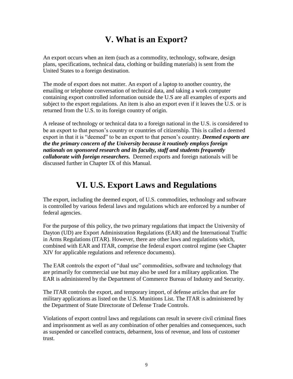### **V. What is an Export?**

An export occurs when an item (such as a commodity, technology, software, design plans, specifications, technical data, clothing or building materials) is sent from the United States to a foreign destination.

The mode of export does not matter. An export of a laptop to another country, the emailing or telephone conversation of technical data, and taking a work computer containing export controlled information outside the U.S are all examples of exports and subject to the export regulations. An item is also an export even if it leaves the U.S. or is returned from the U.S. to its foreign country of origin.

A release of technology or technical data to a foreign national in the U.S. is considered to be an export to that person's country or countries of citizenship. This is called a deemed export in that it is "deemed" to be an export to that person's country. *Deemed exports are the the primary concern of the University because it routinely employs foreign nationals on sponsored research and its faculty, staff and students frequently collaborate with foreign researchers.* Deemed exports and foreign nationals will be discussed further in Chapter IX of this Manual.

### **VI. U.S. Export Laws and Regulations**

The export, including the deemed export, of U.S. commodities, technology and software is controlled by various federal laws and regulations which are enforced by a number of federal agencies.

For the purpose of this policy, the two primary regulations that impact the University of Dayton (UD) are Export Administration Regulations (EAR) and the International Traffic in Arms Regulations (ITAR). However, there are other laws and regulations which, combined with EAR and ITAR, comprise the federal export control regime (see Chapter XIV for applicable regulations and reference documents).

The EAR controls the export of "dual use" commodities, software and technology that are primarily for commercial use but may also be used for a military application. The EAR is administered by the Department of Commerce Bureau of Industry and Security.

The ITAR controls the export, and temporary import, of defense articles that are for military applications as listed on the U.S. Munitions List. The ITAR is administered by the Department of State Directorate of Defense Trade Controls.

Violations of export control laws and regulations can result in severe civil criminal fines and imprisonment as well as any combination of other penalties and consequences, such as suspended or cancelled contracts, debarment, loss of revenue, and loss of customer trust.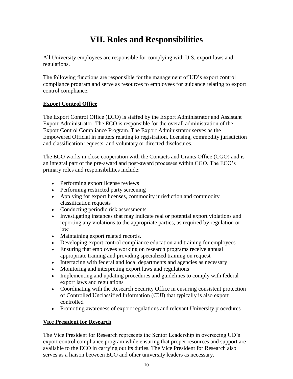### **VII. Roles and Responsibilities**

All University employees are responsible for complying with U.S. export laws and regulations.

The following functions are responsible for the management of UD's export control compliance program and serve as resources to employees for guidance relating to export control compliance.

#### **Export Control Office**

The Export Control Office (ECO) is staffed by the Export Administrator and Assistant Export Administrator. The ECO is responsible for the overall administration of the Export Control Compliance Program. The Export Administrator serves as the Empowered Official in matters relating to registration, licensing, commodity jurisdiction and classification requests, and voluntary or directed disclosures.

The ECO works in close cooperation with the Contacts and Grants Office (CGO) and is an integral part of the pre-award and post-award processes within CGO. The ECO's primary roles and responsibilities include:

- Performing export license reviews
- Performing restricted party screening
- Applying for export licenses, commodity jurisdiction and commodity classification requests
- Conducting periodic risk assessments
- Investigating instances that may indicate real or potential export violations and reporting any violations to the appropriate parties, as required by regulation or law
- Maintaining export related records.
- Developing export control compliance education and training for employees
- Ensuring that employees working on research programs receive annual appropriate training and providing specialized training on request
- Interfacing with federal and local departments and agencies as necessary
- Monitoring and interpreting export laws and regulations
- Implementing and updating procedures and guidelines to comply with federal export laws and regulations
- Coordinating with the Research Security Office in ensuring consistent protection of Controlled Unclassified Information (CUI) that typically is also export controlled
- Promoting awareness of export regulations and relevant University procedures

#### **Vice President for Research**

The Vice President for Research represents the Senior Leadership in overseeing UD's export control compliance program while ensuring that proper resources and support are available to the ECO in carrying out its duties. The Vice President for Research also serves as a liaison between ECO and other university leaders as necessary.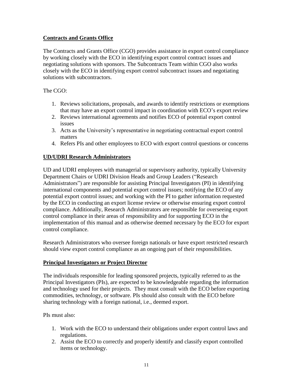#### **Contracts and Grants Office**

The Contracts and Grants Office (CGO) provides assistance in export control compliance by working closely with the ECO in identifying export control contract issues and negotiating solutions with sponsors. The Subcontracts Team within CGO also works closely with the ECO in identifying export control subcontract issues and negotiating solutions with subcontractors.

#### The CGO:

- 1. Reviews solicitations, proposals, and awards to identify restrictions or exemptions that may have an export control impact in coordination with ECO's export review
- 2. Reviews international agreements and notifies ECO of potential export control issues
- 3. Acts as the University's representative in negotiating contractual export control matters
- 4. Refers PIs and other employees to ECO with export control questions or concerns

#### **UD/UDRI Research Administrators**

UD and UDRI employees with managerial or supervisory authority, typically University Department Chairs or UDRI Division Heads and Group Leaders ("Research Administrators") are responsible for assisting Principal Investigators (PI) in identifying international components and potential export control issues; notifying the ECO of any potential export control issues; and working with the PI to gather information requested by the ECO in conducting an export license review or otherwise ensuring export control compliance. Additionally, Research Administrators are responsible for overseeing export control compliance in their areas of responsibility and for supporting ECO in the implementation of this manual and as otherwise deemed necessary by the ECO for export control compliance.

Research Administrators who oversee foreign nationals or have export restricted research should view export control compliance as an ongoing part of their responsibilities.

#### **Principal Investigators or Project Director**

The individuals responsible for leading sponsored projects, typically referred to as the Principal Investigators (PIs), are expected to be knowledgeable regarding the information and technology used for their projects. They must consult with the ECO before exporting commodities, technology, or software. PIs should also consult with the ECO before sharing technology with a foreign national, i.e., deemed export.

#### PIs must also:

- 1. Work with the ECO to understand their obligations under export control laws and regulations.
- 2. Assist the ECO to correctly and properly identify and classify export controlled items or technology.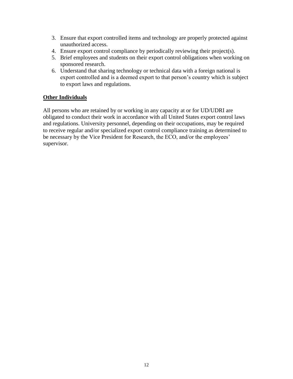- 3. Ensure that export controlled items and technology are properly protected against unauthorized access.
- 4. Ensure export control compliance by periodically reviewing their project(s).
- 5. Brief employees and students on their export control obligations when working on sponsored research.
- 6. Understand that sharing technology or technical data with a foreign national is export controlled and is a deemed export to that person's country which is subject to export laws and regulations.

#### **Other Individuals**

All persons who are retained by or working in any capacity at or for UD/UDRI are obligated to conduct their work in accordance with all United States export control laws and regulations. University personnel, depending on their occupations, may be required to receive regular and/or specialized export control compliance training as determined to be necessary by the Vice President for Research, the ECO, and/or the employees' supervisor.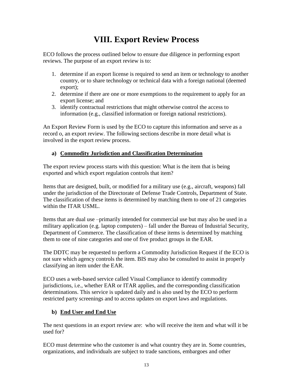### **VIII. Export Review Process**

ECO follows the process outlined below to ensure due diligence in performing export reviews. The purpose of an export review is to:

- 1. determine if an export license is required to send an item or technology to another country, or to share technology or technical data with a foreign national (deemed export);
- 2. determine if there are one or more exemptions to the requirement to apply for an export license; and
- 3. identify contractual restrictions that might otherwise control the access to information (e.g., classified information or foreign national restrictions).

An Export Review Form is used by the ECO to capture this information and serve as a record o, an export review. The following sections describe in more detail what is involved in the export review process.

#### **a) Commodity Jurisdiction and Classification Determination**

The export review process starts with this question: What is the item that is being exported and which export regulation controls that item?

Items that are designed, built, or modified for a military use (e.g., aircraft, weapons) fall under the jurisdiction of the Directorate of Defense Trade Controls, Department of State. The classification of these items is determined by matching them to one of 21 categories within the ITAR USML.

Items that are dual use –primarily intended for commercial use but may also be used in a military application (e.g. laptop computers) – fall under the Bureau of Industrial Security, Department of Commerce. The classification of these items is determined by matching them to one of nine categories and one of five product groups in the EAR.

The DDTC may be requested to perform a Commodity Jurisdiction Request if the ECO is not sure which agency controls the item. BIS may also be consulted to assist in properly classifying an item under the EAR.

ECO uses a web-based service called Visual Compliance to identify commodity jurisdictions, i.e., whether EAR or ITAR applies, and the corresponding classification determinations. This service is updated daily and is also used by the ECO to perform restricted party screenings and to access updates on export laws and regulations.

#### **b) End User and End Use**

The next questions in an export review are: who will receive the item and what will it be used for?

ECO must determine who the customer is and what country they are in. Some countries, organizations, and individuals are subject to trade sanctions, embargoes and other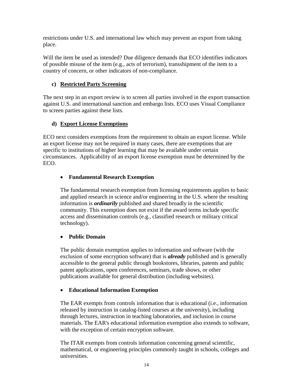restrictions under U.S. and international law which may prevent an export from taking place.

Will the item be used as intended? Due diligence demands that ECO identifies indicators of possible misuse of the item (e.g., acts of terrorism), transshipment of the item to a country of concern, or other indicators of non-compliance.

#### **c) Restricted Party Screening**

The next step in an export review is to screen all parties involved in the export transaction against U.S. and international sanction and embargo lists. ECO uses Visual Compliance to screen parties against these lists.

#### **d) Export License Exemptions**

ECO next considers exemptions from the requirement to obtain an export license. While an export license may not be required in many cases, there are exemptions that are specific to institutions of higher learning that may be available under certain circumstances. Applicability of an export license exemption must be determined by the ECO.

#### **Fundamental Research Exemption**

The fundamental research exemption from licensing requirements applies to basic and applied research in science and/or engineering in the U.S. where the resulting information is *ordinarily* published and shared broadly in the scientific community. This exemption does not exist if the award terms include specific access and dissemination controls (e.g., classified research or military critical technology).

#### **Public Domain**

The public domain exemption applies to information and software (with the exclusion of some encryption software) that is *already* published and is generally accessible to the general public through bookstores, libraries, patents and public patent applications, open conferences, seminars, trade shows, or other publications available for general distribution (including websites).

#### **Educational Information Exemption**

The EAR exempts from controls information that is educational (i.e., information released by instruction in catalog-listed courses at the university), including through lectures, instruction in teaching laboratories, and inclusion in course materials. The EAR's educational information exemption also extends to software, with the exception of certain encryption software.

The ITAR exempts from controls information concerning general scientific, mathematical, or engineering principles commonly taught in schools, colleges and universities.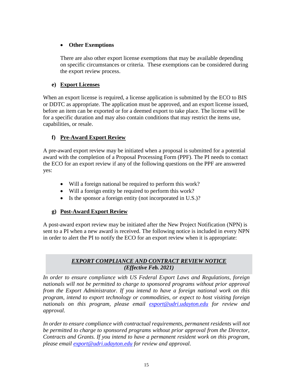#### **Other Exemptions**

There are also other export license exemptions that may be available depending on specific circumstances or criteria. These exemptions can be considered during the export review process.

#### **e) Export Licenses**

When an export license is required, a license application is submitted by the ECO to BIS or DDTC as appropriate. The application must be approved, and an export license issued, before an item can be exported or for a deemed export to take place. The license will be for a specific duration and may also contain conditions that may restrict the items use, capabilities, or resale.

#### **f) Pre-Award Export Review**

A pre-award export review may be initiated when a proposal is submitted for a potential award with the completion of a Proposal Processing Form (PPF). The PI needs to contact the ECO for an export review if any of the following questions on the PPF are answered yes:

- Will a foreign national be required to perform this work?
- Will a foreign entity be required to perform this work?
- Is the sponsor a foreign entity (not incorporated in U.S.)?

#### **g) Post-Award Export Review**

A post-award export review may be initiated after the New Project Notification (NPN) is sent to a PI when a new award is received. The following notice is included in every NPN in order to alert the PI to notify the ECO for an export review when it is appropriate:

#### *EXPORT COMPLIANCE AND CONTRACT REVIEW NOTICE (Effective Feb. 2021)*

*In order to ensure compliance with US Federal Export Laws and Regulations, foreign nationals will not be permitted to charge to sponsored programs without prior approval from the Export Administrator. If you intend to have a foreign national work on this program, intend to export technology or commodities, or expect to host visiting foreign nationals on this program, please email [export@udri.udayton.edu](mailto:export@udri.udayton.edu) for review and approval.* 

*In order to ensure compliance with contractual requirements, permanent residents will not be permitted to charge to sponsored programs without prior approval from the Director, Contracts and Grants. If you intend to have a permanent resident work on this program, please email [export@udri.udayton.edu](mailto:export@udri.udayton.edu) for review and approval.*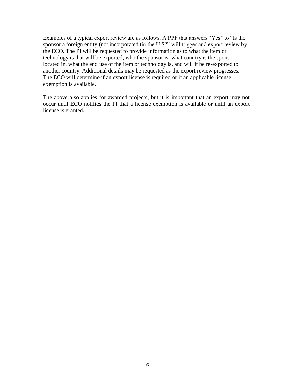Examples of a typical export review are as follows. A PPF that answers "Yes" to "Is the sponsor a foreign entity (not incorporated tin the U.S?" will trigger and export review by the ECO. The PI will be requested to provide information as to what the item or technology is that will be exported, who the sponsor is, what country is the sponsor located in, what the end use of the item or technology is, and will it be re-exported to another country. Additional details may be requested as the export review progresses. The ECO will determine if an export license is required or if an applicable license exemption is available.

The above also applies for awarded projects, but it is important that an export may not occur until ECO notifies the PI that a license exemption is available or until an export license is granted.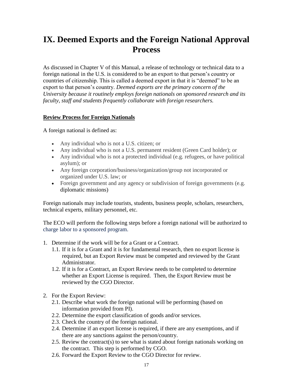### **IX. Deemed Exports and the Foreign National Approval Process**

As discussed in Chapter V of this Manual, a release of technology or technical data to a foreign national in the U.S. is considered to be an export to that person's country or countries of citizenship. This is called a deemed export in that it is "deemed" to be an export to that person's country. *Deemed exports are the primary concern of the University because it routinely employs foreign nationals on sponsored research and its faculty, staff and students frequently collaborate with foreign researchers.*

#### **Review Process for Foreign Nationals**

A foreign national is defined as:

- Any individual who is not a U.S. citizen; or
- Any individual who is not a U.S. permanent resident (Green Card holder); or
- Any individual who is not a protected individual (e.g. refugees, or have political asylum); or
- Any foreign corporation/business/organization/group not incorporated or organized under U.S. law; or
- Foreign government and any agency or subdivision of foreign governments (e.g. diplomatic missions)

Foreign nationals may include tourists, students, business people, scholars, researchers, technical experts, military personnel, etc.

The ECO will perform the following steps before a foreign national will be authorized to charge labor to a sponsored program.

- 1. Determine if the work will be for a Grant or a Contract.
	- 1.1. If it is for a Grant and it is for fundamental research, then no export license is required, but an Export Review must be competed and reviewed by the Grant Administrator.
	- 1.2. If it is for a Contract, an Export Review needs to be completed to determine whether an Export License is required. Then, the Export Review must be reviewed by the CGO Director.
- 2. For the Export Review:
	- 2.1. Describe what work the foreign national will be performing (based on information provided from PI).
	- 2.2. Determine the export classification of goods and/or services.
	- 2.3. Check the country of the foreign national.
	- 2.4. Determine if an export license is required, if there are any exemptions, and if there are any sanctions against the person/country.
	- 2.5. Review the contract(s) to see what is stated about foreign nationals working on the contract. This step is performed by CGO.
	- 2.6. Forward the Export Review to the CGO Director for review.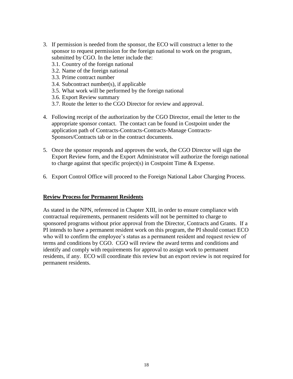- 3. If permission is needed from the sponsor, the ECO will construct a letter to the sponsor to request permission for the foreign national to work on the program, submitted by CGO. In the letter include the:
	- 3.1. Country of the foreign national
	- 3.2. Name of the foreign national
	- 3.3. Prime contract number
	- 3.4. Subcontract number(s), if applicable
	- 3.5. What work will be performed by the foreign national
	- 3.6. Export Review summary
	- 3.7. Route the letter to the CGO Director for review and approval.
- 4. Following receipt of the authorization by the CGO Director, email the letter to the appropriate sponsor contact. The contact can be found in Costpoint under the application path of Contracts-Contracts-Contracts-Manage Contracts-Sponsors/Contracts tab or in the contract documents.
- 5. Once the sponsor responds and approves the work, the CGO Director will sign the Export Review form, and the Export Administrator will authorize the foreign national to charge against that specific project(s) in Costpoint Time & Expense.
- 6. Export Control Office will proceed to the Foreign National Labor Charging Process.

#### **Review Process for Permanent Residents**

As stated in the NPN, referenced in Chapter XIII, in order to ensure compliance with contractual requirements, permanent residents will not be permitted to charge to sponsored programs without prior approval from the Director, Contracts and Grants. If a PI intends to have a permanent resident work on this program, the PI should contact ECO who will to confirm the employee's status as a permanent resident and request review of terms and conditions by CGO. CGO will review the award terms and conditions and identify and comply with requirements for approval to assign work to permanent residents, if any. ECO will coordinate this review but an export review is not required for permanent residents.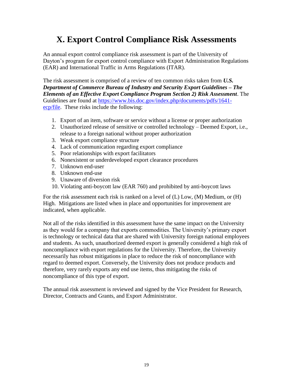### **X. Export Control Compliance Risk Assessments**

An annual export control compliance risk assessment is part of the University of Dayton's program for export control compliance with Export Administration Regulations (EAR) and International Traffic in Arms Regulations (ITAR).

The risk assessment is comprised of a review of ten common risks taken from *U.S. Department of Commerce Bureau of Industry and Security Export Guidelines – The Elements of an Effective Export Compliance Program Section 2) Risk Assessment*. The Guidelines are found at [https://www.bis.doc.gov/index.php/documents/pdfs/1641](https://www.bis.doc.gov/index.php/documents/pdfs/1641-ecp/file) [ecp/file.](https://www.bis.doc.gov/index.php/documents/pdfs/1641-ecp/file) These risks include the following:

- 1. Export of an item, software or service without a license or proper authorization
- 2. Unauthorized release of sensitive or controlled technology Deemed Export, i.e., release to a foreign national without proper authorization
- 3. Weak export compliance structure
- 4. Lack of communication regarding export compliance
- 5. Poor relationships with export facilitators
- 6. Nonexistent or underdeveloped export clearance procedures
- 7. Unknown end-user
- 8. Unknown end-use
- 9. Unaware of diversion risk
- 10. Violating anti-boycott law (EAR 760) and prohibited by anti-boycott laws

For the risk assessment each risk is ranked on a level of (L) Low, (M) Medium, or (H) High. Mitigations are listed when in place and opportunities for improvement are indicated, when applicable.

Not all of the risks identified in this assessment have the same impact on the University as they would for a company that exports commodities. The University's primary export is technology or technical data that are shared with University foreign national employees and students. As such, unauthorized deemed export is generally considered a high risk of noncompliance with export regulations for the University. Therefore, the University necessarily has robust mitigations in place to reduce the risk of noncompliance with regard to deemed export. Conversely, the University does not produce products and therefore, very rarely exports any end use items, thus mitigating the risks of noncompliance of this type of export.

The annual risk assessment is reviewed and signed by the Vice President for Research, Director, Contracts and Grants, and Export Administrator.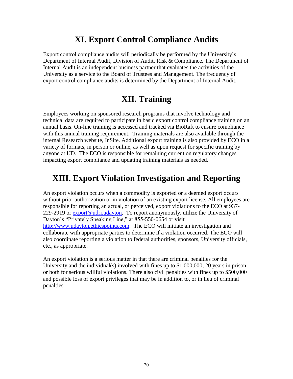### **XI. Export Control Compliance Audits**

Export control compliance audits will periodically be performed by the University's Department of Internal Audit, Division of Audit, Risk & Compliance. The Department of Internal Audit is an independent business partner that evaluates the activities of the University as a service to the Board of Trustees and Management. The frequency of export control compliance audits is determined by the Department of Internal Audit.

### **XII. Training**

Employees working on sponsored research programs that involve technology and technical data are required to participate in basic export control compliance training on an annual basis. On-line training is accessed and tracked via BioRaft to ensure compliance with this annual training requirement. Training materials are also available through the internal Research website, InSite. Additional export training is also provided by ECO in a variety of formats, in person or online, as well as upon request for specific training by anyone at UD. The ECO is responsible for remaining current on regulatory changes impacting export compliance and updating training materials as needed.

### **XIII. Export Violation Investigation and Reporting**

An export violation occurs when a commodity is exported or a deemed export occurs without prior authorization or in violation of an existing export license. All employees are responsible for reporting an actual, or perceived, export violations to the ECO at 937 229-2919 or [export@udri.udayton.](mailto:export@udri.udayton) To report anonymously, utilize the University of Dayton's "Privately Speaking Line," at 855-550-0654 or visit [http://www.udayton.ethicspoints.com.](http://www.udayton.ethicspoints.com/) The ECO will initiate an investigation and collaborate with appropriate parties to determine if a violation occurred. The ECO will also coordinate reporting a violation to federal authorities, sponsors, University officials, etc., as appropriate.

An export violation is a serious matter in that there are criminal penalties for the University and the individual(s) involved with fines up to \$1,000,000, 20 years in prison, or both for serious willful violations. There also civil penalties with fines up to \$500,000 and possible loss of export privileges that may be in addition to, or in lieu of criminal penalties.